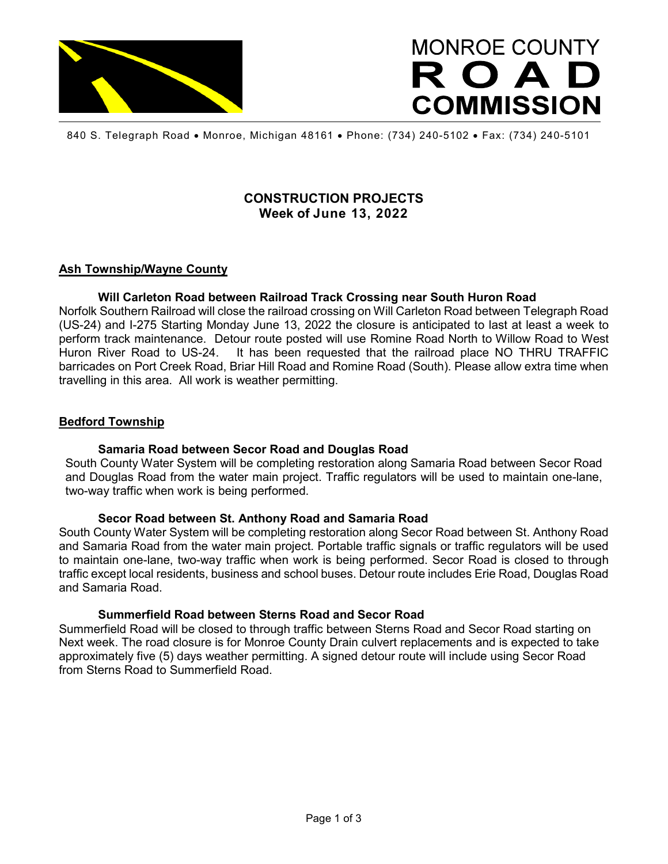

# **MONROE COUNTY** ROAD **COMMISSION**

840 S. Telegraph Road • Monroe, Michigan 48161 • Phone: (734) 240-5102 • Fax: (734) 240-5101

## **CONSTRUCTION PROJECTS Week of June 13, 2022**

## **Ash Township/Wayne County**

#### **Will Carleton Road between Railroad Track Crossing near South Huron Road**

Norfolk Southern Railroad will close the railroad crossing on Will Carleton Road between Telegraph Road (US-24) and I-275 Starting Monday June 13, 2022 the closure is anticipated to last at least a week to perform track maintenance. Detour route posted will use Romine Road North to Willow Road to West Huron River Road to US-24. It has been requested that the railroad place NO THRU TRAFFIC barricades on Port Creek Road, Briar Hill Road and Romine Road (South). Please allow extra time when travelling in this area. All work is weather permitting.

#### **Bedford Township**

#### **Samaria Road between Secor Road and Douglas Road**

South County Water System will be completing restoration along Samaria Road between Secor Road and Douglas Road from the water main project. Traffic regulators will be used to maintain one-lane, two-way traffic when work is being performed.

#### **Secor Road between St. Anthony Road and Samaria Road**

South County Water System will be completing restoration along Secor Road between St. Anthony Road and Samaria Road from the water main project. Portable traffic signals or traffic regulators will be used to maintain one-lane, two-way traffic when work is being performed. Secor Road is closed to through traffic except local residents, business and school buses. Detour route includes Erie Road, Douglas Road and Samaria Road.

#### **Summerfield Road between Sterns Road and Secor Road**

Summerfield Road will be closed to through traffic between Sterns Road and Secor Road starting on Next week. The road closure is for Monroe County Drain culvert replacements and is expected to take approximately five (5) days weather permitting. A signed detour route will include using Secor Road from Sterns Road to Summerfield Road.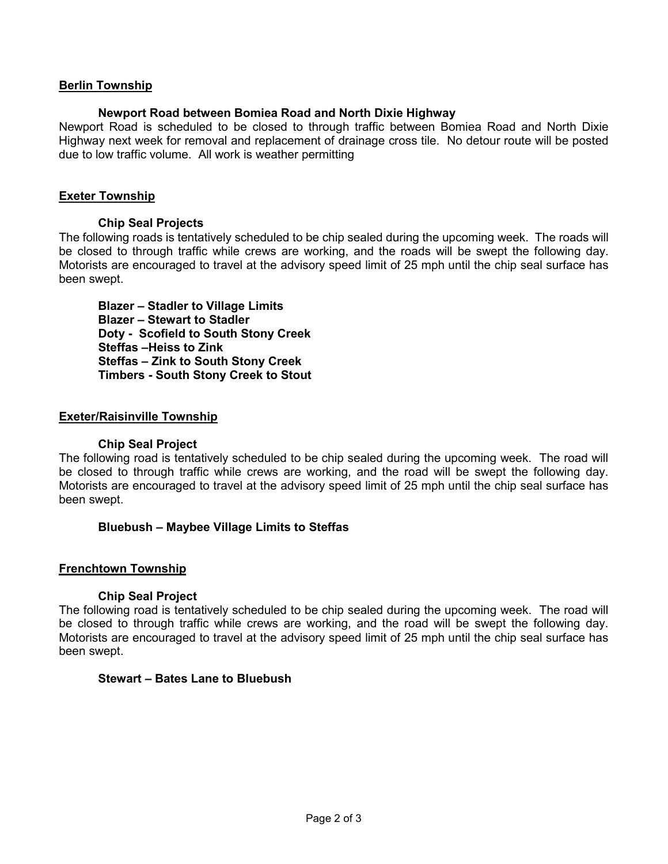## **Berlin Township**

## **Newport Road between Bomiea Road and North Dixie Highway**

Newport Road is scheduled to be closed to through traffic between Bomiea Road and North Dixie Highway next week for removal and replacement of drainage cross tile. No detour route will be posted due to low traffic volume. All work is weather permitting

## **Exeter Township**

#### **Chip Seal Projects**

The following roads is tentatively scheduled to be chip sealed during the upcoming week. The roads will be closed to through traffic while crews are working, and the roads will be swept the following day. Motorists are encouraged to travel at the advisory speed limit of 25 mph until the chip seal surface has been swept.

**Blazer – Stadler to Village Limits Blazer – Stewart to Stadler Doty - Scofield to South Stony Creek Steffas –Heiss to Zink Steffas – Zink to South Stony Creek Timbers - South Stony Creek to Stout**

#### **Exeter/Raisinville Township**

#### **Chip Seal Project**

The following road is tentatively scheduled to be chip sealed during the upcoming week. The road will be closed to through traffic while crews are working, and the road will be swept the following day. Motorists are encouraged to travel at the advisory speed limit of 25 mph until the chip seal surface has been swept.

#### **Bluebush – Maybee Village Limits to Steffas**

#### **Frenchtown Township**

#### **Chip Seal Project**

The following road is tentatively scheduled to be chip sealed during the upcoming week. The road will be closed to through traffic while crews are working, and the road will be swept the following day. Motorists are encouraged to travel at the advisory speed limit of 25 mph until the chip seal surface has been swept.

#### **Stewart – Bates Lane to Bluebush**